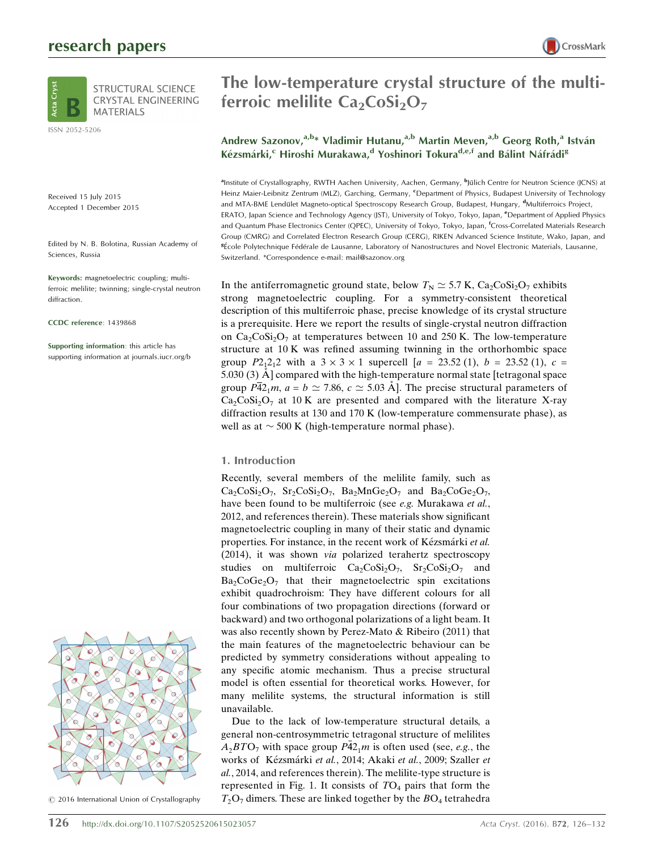## research papers





ISSN 2052-5206

Received 15 July 2015 Accepted 1 December 2015

Edited by N. B. Bolotina, Russian Academy of Sciences, Russia

Keywords: magnetoelectric coupling; multiferroic melilite; twinning; single-crystal neutron diffraction.

CCDC reference: 1439868

Supporting information: this article has supporting information at journals.iucr.org/b



 $©$  2016 International Union of Crystallography

# The low-temperature crystal structure of the multiferroic melilite  $Ca<sub>2</sub>CoSi<sub>2</sub>O<sub>7</sub>$

### Andrew Sazonov,<sup>a,b\*</sup> Vladimir Hutanu,<sup>a,b</sup> Martin Meven,<sup>a,b</sup> Georg Roth,<sup>a</sup> István Kézsmárki,<sup>c</sup> Hiroshi Murakawa,<sup>d</sup> Yoshinori Tokura<sup>d,e,f</sup> and Bálint Náfrádi<sup>g</sup>

<sup>a</sup>Institute of Crystallography, RWTH Aachen University, Aachen, Germany, <sup>b</sup>Jülich Centre for Neutron Science (JCNS) at Heinz Maier-Leibnitz Zentrum (MLZ), Garching, Germany, <sup>c</sup>Department of Physics, Budapest University of Technology and MTA-BME Lendület Magneto-optical Spectroscopy Research Group, Budapest, Hungary, <sup>d</sup>Multiferroics Project, ERATO, Japan Science and Technology Agency (JST), University of Tokyo, Tokyo, Japan, *eDepartment of Applied Physics* and Quantum Phase Electronics Center (QPEC), University of Tokyo, Tokyo, Japan, <sup>f</sup>Cross-Correlated Materials Research Group (CMRG) and Correlated Electron Research Group (CERG), RIKEN Advanced Science Institute, Wako, Japan, and <sup>8</sup>École Polytechnique Fédérale de Lausanne, Laboratory of Nanostructures and Novel Electronic Materials, Lausanne, Switzerland. \*Correspondence e-mail: mail@sazonov.org

In the antiferromagnetic ground state, below  $T_N \simeq 5.7$  K, Ca<sub>2</sub>CoSi<sub>2</sub>O<sub>7</sub> exhibits strong magnetoelectric coupling. For a symmetry-consistent theoretical description of this multiferroic phase, precise knowledge of its crystal structure is a prerequisite. Here we report the results of single-crystal neutron diffraction on  $Ca_2CoSi_2O_7$  at temperatures between 10 and 250 K. The low-temperature structure at 10 K was refined assuming twinning in the orthorhombic space group  $P2_12_12$  with a  $3 \times 3 \times 1$  supercell  $[a = 23.52 (1), b = 23.52 (1), c =$ 5.030 (3)  $\AA$  compared with the high-temperature normal state [tetragonal space group  $P42_1m$ ,  $a = b \simeq 7.86$ ,  $c \simeq 5.03$  A]. The precise structural parameters of  $Ca<sub>2</sub>CoSi<sub>2</sub>O<sub>7</sub>$  at 10 K are presented and compared with the literature X-ray diffraction results at 130 and 170 K (low-temperature commensurate phase), as well as at  $\sim$  500 K (high-temperature normal phase).

#### 1. Introduction

Recently, several members of the melilite family, such as  $Ca_2CoSi_2O_7$ ,  $Sr_2CoSi_2O_7$ ,  $Ba_2MnGe_2O_7$  and  $Ba_2CoGe_2O_7$ , have been found to be multiferroic (see e.g. Murakawa et al., 2012, and references therein). These materials show significant magnetoelectric coupling in many of their static and dynamic properties. For instance, in the recent work of Kézsmárki et al. (2014), it was shown via polarized terahertz spectroscopy studies on multiferroic  $Ca_2CoSi_2O_7$ ,  $Sr_2CoSi_2O_7$  and  $Ba_2CoGe_2O_7$  that their magnetoelectric spin excitations exhibit quadrochroism: They have different colours for all four combinations of two propagation directions (forward or backward) and two orthogonal polarizations of a light beam. It was also recently shown by Perez-Mato & Ribeiro (2011) that the main features of the magnetoelectric behaviour can be predicted by symmetry considerations without appealing to any specific atomic mechanism. Thus a precise structural model is often essential for theoretical works. However, for many melilite systems, the structural information is still unavailable.

Due to the lack of low-temperature structural details, a general non-centrosymmetric tetragonal structure of melilites  $A_2 BTO_7$  with space group  $P\overline{4}2_1m$  is often used (see, e.g., the works of Kézsmárki et al., 2014; Akaki et al., 2009; Szaller et al., 2014, and references therein). The melilite-type structure is represented in Fig. 1. It consists of  $TO<sub>4</sub>$  pairs that form the  $T_2O_7$  dimers. These are linked together by the  $BO_4$  tetrahedra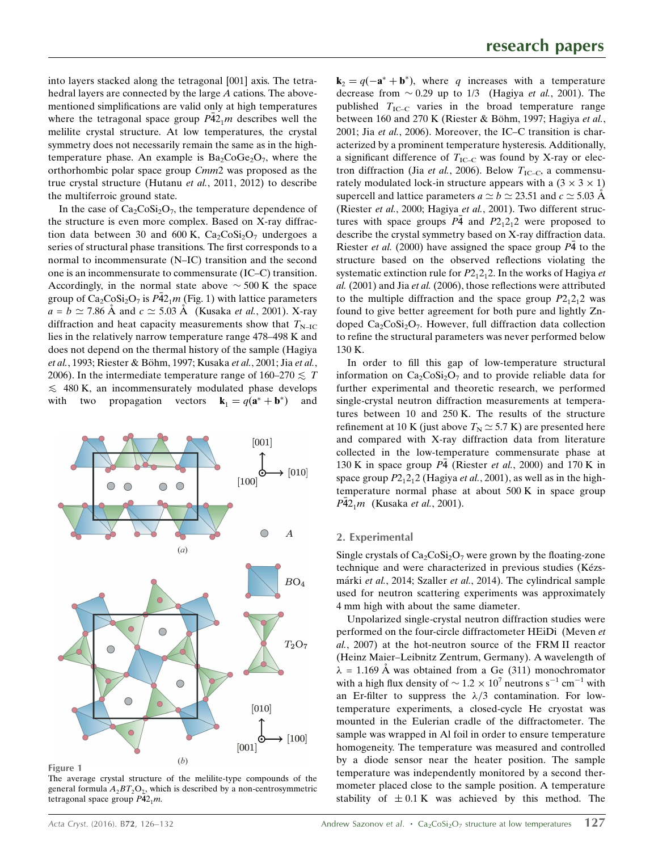into layers stacked along the tetragonal [001] axis. The tetrahedral layers are connected by the large A cations. The abovementioned simplifications are valid only at high temperatures where the tetragonal space group  $P\bar{4}2_1m$  describes well the melilite crystal structure. At low temperatures, the crystal symmetry does not necessarily remain the same as in the hightemperature phase. An example is  $Ba_2CoGe_2O_7$ , where the orthorhombic polar space group Cmm2 was proposed as the true crystal structure (Hutanu et al., 2011, 2012) to describe the multiferroic ground state.

In the case of  $Ca<sub>2</sub>CoSi<sub>2</sub>O<sub>7</sub>$ , the temperature dependence of the structure is even more complex. Based on X-ray diffraction data between 30 and 600 K,  $Ca<sub>2</sub>CoSi<sub>2</sub>O<sub>7</sub>$  undergoes a series of structural phase transitions. The first corresponds to a normal to incommensurate (N–IC) transition and the second one is an incommensurate to commensurate (IC–C) transition. Accordingly, in the normal state above  $\sim$  500 K the space group of  $Ca_2CoSi_2O_7$  is  $P\bar{4}2_1m$  (Fig. 1) with lattice parameters  $a = b \simeq 7.86$  Å and  $c \simeq 5.03$  Å (Kusaka *et al.*, 2001). X-ray diffraction and heat capacity measurements show that  $T_{\text{N-IC}}$ lies in the relatively narrow temperature range 478–498 K and does not depend on the thermal history of the sample (Hagiya et al., 1993; Riester & Böhm, 1997; Kusaka et al., 2001; Jia et al., 2006). In the intermediate temperature range of  $160-270 \leq T$  $\leq$  480 K, an incommensurately modulated phase develops<br>with two propagation vectors  $\mathbf{k}_1 = q(\mathbf{a}^* + \mathbf{b}^*)$  and with two propagation vectors  $\mathbf{k}_1 = q(\mathbf{a}^* + \mathbf{b}^*)$  and



Figure 1

The average crystal structure of the melilite-type compounds of the general formula  $A_2BT_2O_7$ , which is described by a non-centrosymmetric tetragonal space group  $P42_1m$ .

 $\mathbf{k}_2 = q(-\mathbf{a}^* + \mathbf{b}^*)$ , where q increases with a temperature decrease from  $\sim 0.29$  up to 1/3 (Hagiya *et al.*, 2001). The published  $T_{\text{IC}-\text{C}}$  varies in the broad temperature range between 160 and 270 K (Riester & Böhm, 1997; Hagiya et al., 2001; Jia et al., 2006). Moreover, the IC–C transition is characterized by a prominent temperature hysteresis. Additionally, a significant difference of  $T_{\text{IC-}C}$  was found by X-ray or electron diffraction (Jia et al., 2006). Below  $T_{IC-C}$ , a commensurately modulated lock-in structure appears with a  $(3 \times 3 \times 1)$ supercell and lattice parameters  $a \simeq b \simeq 23.51$  and  $c \simeq 5.03$  Å (Riester et al., 2000; Hagiya et al., 2001). Two different structures with space groups  $P\bar{4}$  and  $P2_12_12$  were proposed to describe the crystal symmetry based on X-ray diffraction data. Riester et al. (2000) have assigned the space group  $P\bar{4}$  to the structure based on the observed reflections violating the systematic extinction rule for  $P2_12_12$ . In the works of Hagiya et al. (2001) and Jia et al. (2006), those reflections were attributed to the multiple diffraction and the space group  $P2_12_12$  was found to give better agreement for both pure and lightly Zndoped  $Ca_2CoSi_2O_7$ . However, full diffraction data collection to refine the structural parameters was never performed below 130 K.

In order to fill this gap of low-temperature structural information on  $Ca_2CoSi_2O_7$  and to provide reliable data for further experimental and theoretic research, we performed single-crystal neutron diffraction measurements at temperatures between 10 and 250 K. The results of the structure refinement at 10 K (just above  $T_N \simeq 5.7$  K) are presented here and compared with X-ray diffraction data from literature collected in the low-temperature commensurate phase at 130 K in space group  $P\bar{4}$  (Riester et al., 2000) and 170 K in space group  $P2_12_12$  (Hagiya *et al.*, 2001), as well as in the hightemperature normal phase at about 500 K in space group  $P\bar{4}2_1m$  (Kusaka *et al.*, 2001).

#### 2. Experimental

Single crystals of  $Ca_2CoSi_2O_7$  were grown by the floating-zone technique and were characterized in previous studies (Kézsmárki et al., 2014; Szaller et al., 2014). The cylindrical sample used for neutron scattering experiments was approximately 4 mm high with about the same diameter.

Unpolarized single-crystal neutron diffraction studies were performed on the four-circle diffractometer HEiDi (Meven et al., 2007) at the hot-neutron source of the FRM II reactor (Heinz Maier–Leibnitz Zentrum, Germany). A wavelength of  $\lambda = 1.169$  Å was obtained from a Ge (311) monochromator with a high flux density of  $\sim 1.2 \times 10^7$  neutrons s<sup>-1</sup> cm<sup>-1</sup> with an Er-filter to suppress the  $\lambda/3$  contamination. For lowtemperature experiments, a closed-cycle He cryostat was mounted in the Eulerian cradle of the diffractometer. The sample was wrapped in Al foil in order to ensure temperature homogeneity. The temperature was measured and controlled by a diode sensor near the heater position. The sample temperature was independently monitored by a second thermometer placed close to the sample position. A temperature stability of  $\pm 0.1$  K was achieved by this method. The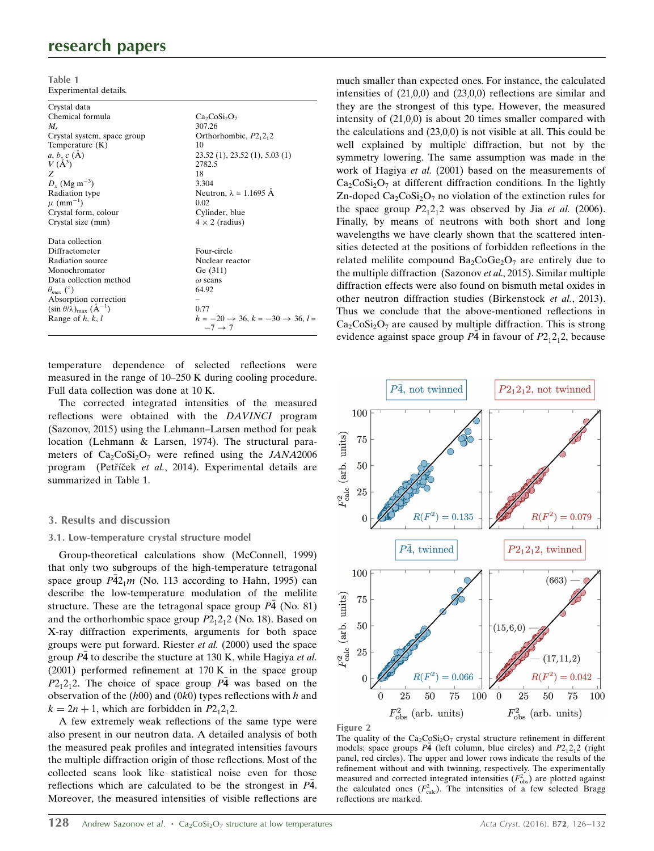## research papers

Table 1 Experimental details.

| Crystal data                                           |                                                                             |
|--------------------------------------------------------|-----------------------------------------------------------------------------|
| Chemical formula                                       | $Ca_2CoSi_2O_7$                                                             |
| $M_r$                                                  | 307.26                                                                      |
| Crystal system, space group                            | Orthorhombic, $P2_12_12$                                                    |
| Temperature $(K)$                                      | 10                                                                          |
| $a, b, c (\AA)$                                        | 23.52(1), 23.52(1), 5.03(1)                                                 |
| $V(A^3)$                                               | 2782.5                                                                      |
| Z                                                      | 18                                                                          |
| $D_r$ (Mg m <sup>-3</sup> )                            | 3.304                                                                       |
| Radiation type                                         | Neutron, $\lambda = 1.1695$ Å                                               |
| $\mu$ (mm <sup>-1</sup> )                              | 0.02                                                                        |
| Crystal form, colour                                   | Cylinder, blue                                                              |
| Crystal size (mm)                                      | $4 \times 2$ (radius)                                                       |
| Data collection                                        |                                                                             |
| Diffractometer                                         | Four-circle                                                                 |
| Radiation source                                       | Nuclear reactor                                                             |
| Monochromator                                          | Ge (311)                                                                    |
| Data collection method                                 | $\omega$ scans                                                              |
| $\theta_{max}$ (°)                                     | 64.92                                                                       |
| Absorption correction                                  |                                                                             |
| $(\sin \theta/\lambda)_{\text{max}}$ $(\text{Å}^{-1})$ | 0.77                                                                        |
| Range of $h, k, l$                                     | $h = -20 \rightarrow 36, k = -30 \rightarrow 36, l =$<br>$-7 \rightarrow 7$ |
|                                                        |                                                                             |

temperature dependence of selected reflections were measured in the range of 10–250 K during cooling procedure. Full data collection was done at 10 K.

The corrected integrated intensities of the measured reflections were obtained with the DAVINCI program (Sazonov, 2015) using the Lehmann–Larsen method for peak location (Lehmann & Larsen, 1974). The structural parameters of  $Ca_2CoSi_2O_7$  were refined using the JANA2006 program (Petříček et al., 2014). Experimental details are summarized in Table 1.

#### 3. Results and discussion

#### 3.1. Low-temperature crystal structure model

Group-theoretical calculations show (McConnell, 1999) that only two subgroups of the high-temperature tetragonal space group  $\overline{P42_1m}$  (No. 113 according to Hahn, 1995) can describe the low-temperature modulation of the melilite structure. These are the tetragonal space group  $P\bar{4}$  (No. 81) and the orthorhombic space group  $P2_12_12$  (No. 18). Based on X-ray diffraction experiments, arguments for both space groups were put forward. Riester et al. (2000) used the space group  $\overline{P4}$  to describe the stucture at 130 K, while Hagiya et al. (2001) performed refinement at 170 K in the space group  $P2_12_12$ . The choice of space group  $P\overline{4}$  was based on the observation of the  $(h00)$  and  $(0k0)$  types reflections with h and  $k = 2n + 1$ , which are forbidden in  $P2<sub>1</sub>2<sub>1</sub>2$ .

A few extremely weak reflections of the same type were also present in our neutron data. A detailed analysis of both the measured peak profiles and integrated intensities favours the multiple diffraction origin of those reflections. Most of the collected scans look like statistical noise even for those reflections which are calculated to be the strongest in  $P\bar{4}$ . Moreover, the measured intensities of visible reflections are

much smaller than expected ones. For instance, the calculated intensities of  $(21,0,0)$  and  $(23,0,0)$  reflections are similar and they are the strongest of this type. However, the measured intensity of  $(21,0,0)$  is about 20 times smaller compared with the calculations and  $(23,0,0)$  is not visible at all. This could be well explained by multiple diffraction, but not by the symmetry lowering. The same assumption was made in the work of Hagiya et al. (2001) based on the measurements of  $Ca<sub>2</sub>CoSi<sub>2</sub>O<sub>7</sub>$  at different diffraction conditions. In the lightly Zn-doped  $Ca_2CoSi_2O_7$  no violation of the extinction rules for the space group  $P2_12_12$  was observed by Jia *et al.* (2006). Finally, by means of neutrons with both short and long wavelengths we have clearly shown that the scattered intensities detected at the positions of forbidden reflections in the related melilite compound  $Ba_2CoGe_2O_7$  are entirely due to the multiple diffraction (Sazonov et al., 2015). Similar multiple diffraction effects were also found on bismuth metal oxides in other neutron diffraction studies (Birkenstock et al., 2013). Thus we conclude that the above-mentioned reflections in  $Ca<sub>2</sub>CoSi<sub>2</sub>O<sub>7</sub>$  are caused by multiple diffraction. This is strong evidence against space group  $P\overline{4}$  in favour of  $P2_12_12$ , because





The quality of the  $Ca_2CoSi_2O_7$  crystal structure refinement in different models: space groups  $P\overline{4}$  (left column, blue circles) and  $P2_12_12$  (right panel, red circles). The upper and lower rows indicate the results of the refinement without and with twinning, respectively. The experimentally measured and corrected integrated intensities  $(F_{obs}^2)$  are plotted against the calculated ones  $(F_{\text{calc}}^2)$ . The intensities of a few selected Bragg reflections are marked.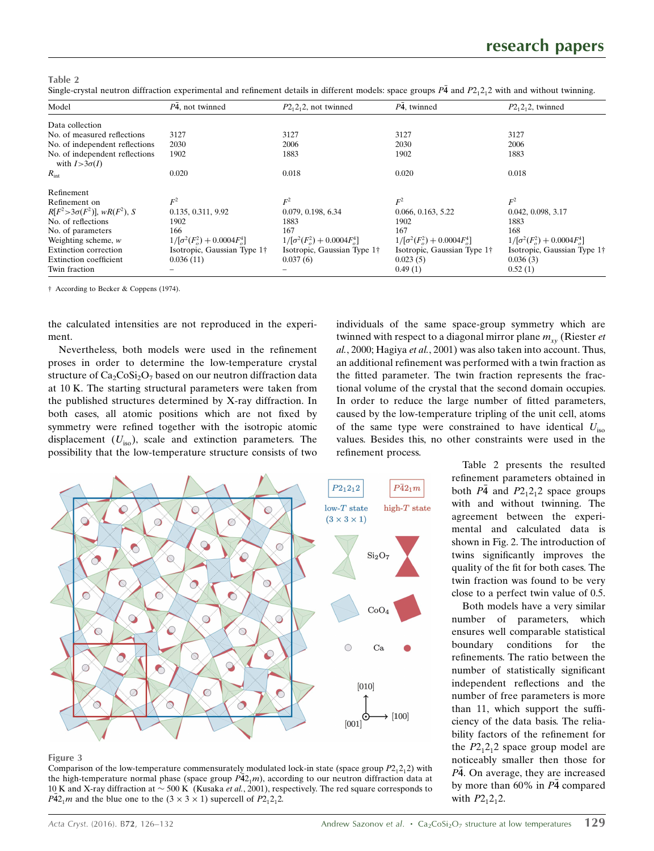Table 2 Single-crystal neutron diffraction experimental and refinement details in different models: space groups  $P\bar{4}$  and  $P2_12_12$  with and without twinning.

| Model                                                   | P4, not twinned                   | $P2_12_2$ , not twinned           | P4, twinned                       | $P2_12_2$ , twinned               |
|---------------------------------------------------------|-----------------------------------|-----------------------------------|-----------------------------------|-----------------------------------|
| Data collection                                         |                                   |                                   |                                   |                                   |
| No. of measured reflections                             | 3127                              | 3127                              | 3127                              | 3127                              |
| No. of independent reflections                          | 2030                              | 2006                              | 2030                              | 2006                              |
| No. of independent reflections<br>with $I > 3\sigma(I)$ | 1902                              | 1883                              | 1902                              | 1883                              |
| $R_{\rm int}$                                           | 0.020                             | 0.018                             | 0.020                             | 0.018                             |
| Refinement                                              |                                   |                                   |                                   |                                   |
| Refinement on                                           | $F^2$                             | $F^2$                             | $F^2$                             | $F^2$                             |
| $R[F^2 > 3\sigma(F^2)]$ , w $R(F^2)$ , S                | 0.135, 0.311, 9.92                | 0.079, 0.198, 6.34                | 0.066, 0.163, 5.22                | 0.042, 0.098, 3.17                |
| No. of reflections                                      | 1902                              | 1883                              | 1902                              | 1883                              |
| No. of parameters                                       | 166                               | 167                               | 167                               | 168                               |
| Weighting scheme, $w$                                   | $1/[\sigma^2(F_o^2)+0.0004F_o^4]$ | $1/[\sigma^2(F_o^2)+0.0004F_o^4]$ | $1/[\sigma^2(F_o^2)+0.0004F_o^4]$ | $1/[\sigma^2(F_o^2)+0.0004F_o^4]$ |
| Extinction correction                                   | Isotropic, Gaussian Type 1†       | Isotropic, Gaussian Type 1†       | Isotropic, Gaussian Type 1†       | Isotropic, Gaussian Type 1†       |
| Extinction coefficient                                  | 0.036(11)                         | 0.037(6)                          | 0.023(5)                          | 0.036(3)                          |
| Twin fraction                                           |                                   |                                   | 0.49(1)                           | 0.52(1)                           |

† According to Becker & Coppens (1974).

the calculated intensities are not reproduced in the experiment.

Nevertheless, both models were used in the refinement proses in order to determine the low-temperature crystal structure of  $Ca_2CoSi_2O_7$  based on our neutron diffraction data at 10 K. The starting structural parameters were taken from the published structures determined by X-ray diffraction. In both cases, all atomic positions which are not fixed by symmetry were refined together with the isotropic atomic displacement  $(U_{\text{iso}})$ , scale and extinction parameters. The possibility that the low-temperature structure consists of two





#### Figure 3

Comparison of the low-temperature commensurately modulated lock-in state (space group  $P2_12_12$ ) with the high-temperature normal phase (space group  $\tilde{P42_1m}$ ), according to our neutron diffraction data at 10 K and X-ray diffraction at  $\sim$  500 K (Kusaka et al., 2001), respectively. The red square corresponds to  $\overline{P42_1}$ m and the blue one to the  $(3 \times 3 \times 1)$  supercell of  $\overline{P2_12_12}$ .

Table 2 presents the resulted refinement parameters obtained in both  $P\bar{4}$  and  $P2_12_12$  space groups with and without twinning. The agreement between the experimental and calculated data is shown in Fig. 2. The introduction of twins significantly improves the quality of the fit for both cases. The twin fraction was found to be very close to a perfect twin value of 0.5.

Both models have a very similar number of parameters, which ensures well comparable statistical boundary conditions for the refinements. The ratio between the number of statistically significant independent reflections and the number of free parameters is more than 11, which support the sufficiency of the data basis. The reliability factors of the refinement for the  $P2_12_12$  space group model are noticeably smaller then those for  $P\bar{4}$ . On average, they are increased by more than  $60\%$  in  $P\bar{4}$  compared with  $P2_12_12$ .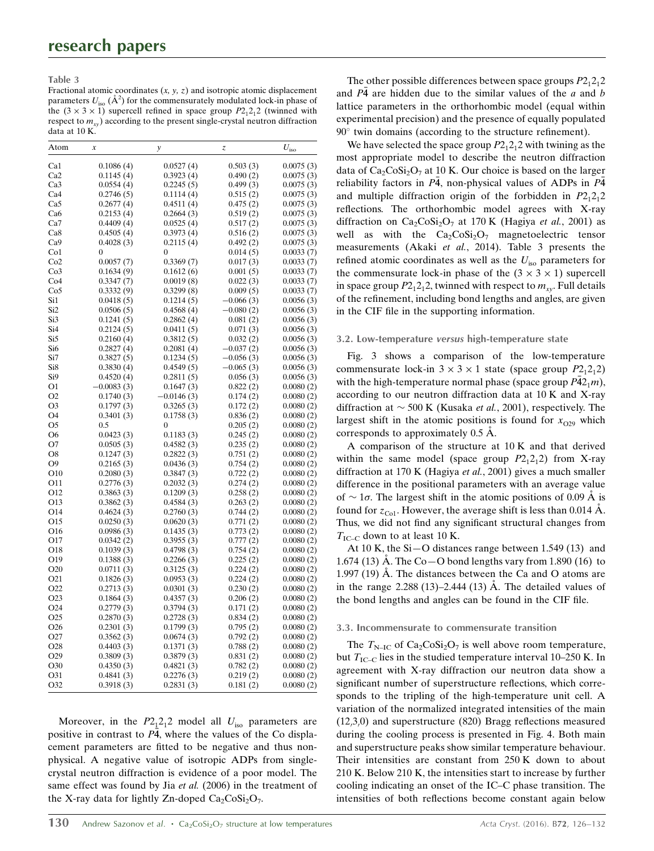Table 3

Fractional atomic coordinates  $(x, y, z)$  and isotropic atomic displacement parameters  $U_{\text{iso}}$  ( $\mathring{A}^2$ ) for the commensurately modulated lock-in phase of the  $(3 \times 3 \times 1)$  supercell refined in space group  $P2_12_12$  (twinned with respect to  $m_{xy}$ ) according to the present single-crystal neutron diffraction data at 10 K.

| Atom             | $\boldsymbol{\chi}$ | у            | Z,          | $U_{\rm iso}$ |
|------------------|---------------------|--------------|-------------|---------------|
| Ca1              | 0.1086(4)           | 0.0527(4)    | 0.503(3)    | 0.0075(3)     |
| Ca <sub>2</sub>  | 0.1145(4)           | 0.3923(4)    | 0.490(2)    | 0.0075(3)     |
| Ca3              | 0.0554(4)           | 0.2245(5)    | 0.499(3)    | 0.0075(3)     |
| Ca4              | 0.2746(5)           | 0.1114(4)    | 0.515(2)    | 0.0075(3)     |
| Ca5              | 0.2677(4)           | 0.4511(4)    | 0.475(2)    | 0.0075(3)     |
| Ca6              | 0.2153(4)           | 0.2664(3)    | 0.519(2)    | 0.0075(3)     |
| Ca7              | 0.4409(4)           | 0.0525(4)    | 0.517(2)    | 0.0075(3)     |
| Ca8              | 0.4505(4)           | 0.3973(4)    | 0.516(2)    | 0.0075(3)     |
| Ca <sub>9</sub>  | 0.4028(3)           | 0.2115(4)    | 0.492(2)    | 0.0075(3)     |
| Co1              | 0                   | 0            | 0.014(5)    | 0.0033(7)     |
| Co2              | 0.0057(7)           | 0.3369(7)    | 0.017(3)    | 0.0033(7)     |
| Co <sub>3</sub>  | 0.1634(9)           | 0.1612(6)    | 0.001(5)    | 0.0033(7)     |
| Co <sub>4</sub>  | 0.3347(7)           | 0.0019(8)    | 0.022(3)    | 0.0033(7)     |
| Co5              | 0.3332(9)           | 0.3299(8)    | 0.009(5)    | 0.0033(7)     |
| Si1              | 0.0418(5)           | 0.1214(5)    | $-0.066(3)$ | 0.0056(3)     |
| Si2              | 0.0506(5)           | 0.4568(4)    | $-0.080(2)$ | 0.0056(3)     |
| Si3              | 0.1241(5)           | 0.2862(4)    | 0.081(2)    | 0.0056(3)     |
| Si4              | 0.2124(5)           | 0.0411(5)    | 0.071(3)    | 0.0056(3)     |
| Si5              | 0.2160(4)           | 0.3812(5)    | 0.032(2)    | 0.0056(3)     |
| Si6              | 0.2827(4)           | 0.2081(4)    | $-0.037(2)$ | 0.0056(3)     |
| Si7              | 0.3827(5)           | 0.1234(5)    | $-0.056(3)$ | 0.0056(3)     |
| Si <sub>8</sub>  | 0.3830(4)           | 0.4549(5)    | $-0.065(3)$ | 0.0056(3)     |
| Si9              | 0.4520(4)           | 0.2811(5)    | 0.056(3)    | 0.0056(3)     |
| O1               | $-0.0083(3)$        | 0.1647(3)    | 0.822(2)    | 0.0080(2)     |
| O <sub>2</sub>   | 0.1740(3)           | $-0.0146(3)$ | 0.174(2)    | 0.0080(2)     |
| O <sub>3</sub>   | 0.1797(3)           | 0.3265(3)    | 0.172(2)    | 0.0080(2)     |
| O <sub>4</sub>   | 0.3401(3)           | 0.1758(3)    | 0.836(2)    | 0.0080(2)     |
| O5               | 0.5                 | 0            | 0.205(2)    | 0.0080(2)     |
| O6               | 0.0423(3)           | 0.1183(3)    | 0.245(2)    | 0.0080(2)     |
| O7               | 0.0505(3)           | 0.4582(3)    | 0.235(2)    | 0.0080(2)     |
| O8               | 0.1247(3)           | 0.2822(3)    | 0.751(2)    | 0.0080(2)     |
| O9               | 0.2165(3)           | 0.0436(3)    | 0.754(2)    | 0.0080(2)     |
| O10              | 0.2080(3)           | 0.3847(3)    | 0.722(2)    | 0.0080(2)     |
| O11              | 0.2776(3)           | 0.2032(3)    | 0.274(2)    | 0.0080(2)     |
| O12              | 0.3863(3)           | 0.1209(3)    | 0.258(2)    | 0.0080(2)     |
| O13              | 0.3862(3)           | 0.4584(3)    | 0.263(2)    | 0.0080(2)     |
| O14              | 0.4624(3)           | 0.2760(3)    | 0.744(2)    | 0.0080(2)     |
| O15              | 0.0250(3)           | 0.0620(3)    | 0.771(2)    | 0.0080(2)     |
| O16              | 0.0986(3)           | 0.1435(3)    | 0.773(2)    | 0.0080(2)     |
| O17              | 0.0342(2)           | 0.3955(3)    | 0.777(2)    | 0.0080(2)     |
| O18              | 0.1039(3)           | 0.4798(3)    | 0.754(2)    | 0.0080(2)     |
| O19              | 0.1388(3)           | 0.2266(3)    | 0.225(2)    | 0.0080(2)     |
| O <sub>20</sub>  | 0.0711(3)           | 0.3125(3)    | 0.224(2)    | 0.0080(2)     |
| O <sub>21</sub>  | 0.1826(3)           | 0.0953(3)    | 0.224(2)    | 0.0080(2)     |
| O22              | 0.2713(3)           | 0.0301(3)    | 0.230(2)    | 0.0080(2)     |
| O <sub>2</sub> 3 | 0.1864(3)           | 0.4357(3)    | 0.206(2)    | 0.0080(2)     |
| O24              | 0.2779(3)           | 0.3794(3)    | 0.171(2)    | 0.0080(2)     |
| O25              | 0.2870(3)           | 0.2728(3)    | 0.834(2)    | 0.0080(2)     |
| O <sub>26</sub>  | 0.2301(3)           | 0.1799(3)    | 0.795(2)    | 0.0080(2)     |
| O <sub>27</sub>  | 0.3562(3)           | 0.0674(3)    | 0.792(2)    | 0.0080(2)     |
| O28              | 0.4403(3)           | 0.1371(3)    | 0.788(2)    | 0.0080(2)     |
| O29              | 0.3809(3)           | 0.3879(3)    | 0.831(2)    | 0.0080(2)     |
| O30              | 0.4350(3)           | 0.4821(3)    | 0.782(2)    | 0.0080(2)     |
| O31              | 0.4841(3)           | 0.2276(3)    | 0.219(2)    | 0.0080(2)     |
| O32              | 0.3918(3)           | 0.2831(3)    | 0.181(2)    | 0.0080(2)     |

Moreover, in the  $P2_12_12$  model all  $U_{\text{iso}}$  parameters are positive in contrast to  $P\bar{4}$ , where the values of the Co displacement parameters are fitted to be negative and thus nonphysical. A negative value of isotropic ADPs from singlecrystal neutron diffraction is evidence of a poor model. The same effect was found by Jia et al. (2006) in the treatment of the X-ray data for lightly Zn-doped  $Ca_2CoSi_2O_7$ .

The other possible differences between space groups  $P2<sub>1</sub>2<sub>1</sub>2$ and  $P\bar{4}$  are hidden due to the similar values of the  $a$  and  $b$ lattice parameters in the orthorhombic model (equal within experimental precision) and the presence of equally populated  $90^\circ$  twin domains (according to the structure refinement).

We have selected the space group  $P2_12_12$  with twining as the most appropriate model to describe the neutron diffraction data of  $Ca_2CoSi_2O_7$  at 10 K. Our choice is based on the larger reliability factors in  $P\bar{4}$ , non-physical values of ADPs in  $P\bar{4}$ and multiple diffraction origin of the forbidden in  $P2_12_12$ reflections. The orthorhombic model agrees with X-ray diffraction on  $Ca_2CoSi_2O_7$  at 170 K (Hagiya et al., 2001) as well as with the  $Ca_2CoSi_2O_7$  magnetoelectric tensor measurements (Akaki et al., 2014). Table 3 presents the refined atomic coordinates as well as the  $U_{\text{iso}}$  parameters for the commensurate lock-in phase of the  $(3 \times 3 \times 1)$  supercell in space group  $P2_12_12$ , twinned with respect to  $m_{xy}$ . Full details of the refinement, including bond lengths and angles, are given in the CIF file in the supporting information.

#### 3.2. Low-temperature versus high-temperature state

Fig. 3 shows a comparison of the low-temperature commensurate lock-in  $3 \times 3 \times 1$  state (space group  $P_{-1}^2(2, 2)$ ) with the high-temperature normal phase (space group  $\overline{P42_1m}$ ), according to our neutron diffraction data at 10 K and X-ray diffraction at  $\sim$  500 K (Kusaka *et al.*, 2001), respectively. The largest shift in the atomic positions is found for  $x_{029}$  which corresponds to approximately  $0.5 \text{ Å}$ .

A comparison of the structure at 10 K and that derived within the same model (space group  $P2_12_12$ ) from X-ray diffraction at 170 K (Hagiya et al., 2001) gives a much smaller difference in the positional parameters with an average value of  $\sim 1\sigma$ . The largest shift in the atomic positions of 0.09 Å is found for  $z_{\text{Co1}}$ . However, the average shift is less than 0.014 Å. Thus, we did not find any significant structural changes from  $T_{\text{IC}-\text{C}}$  down to at least 10 K.

At 10 K, the Si—O distances range between 1.549 (13) and 1.674 (13) Å. The Co $-$ O bond lengths vary from 1.890 (16) to 1.997 (19)  $\dot{A}$ . The distances between the Ca and O atoms are in the range  $2.288(13)$ –2.444 $(13)$  Å. The detailed values of the bond lengths and angles can be found in the CIF file.

#### 3.3. Incommensurate to commensurate transition

The  $T_{\text{N-IC}}$  of  $\text{Ca}_2\text{CoSi}_2\text{O}_7$  is well above room temperature, but  $T_{\text{IC}-\text{C}}$  lies in the studied temperature interval 10–250 K. In agreement with X-ray diffraction our neutron data show a significant number of superstructure reflections, which corresponds to the tripling of the high-temperature unit cell. A variation of the normalized integrated intensities of the main  $(12,3,0)$  and superstructure  $(820)$  Bragg reflections measured during the cooling process is presented in Fig. 4. Both main and superstructure peaks show similar temperature behaviour. Their intensities are constant from 250 K down to about 210 K. Below 210 K, the intensities start to increase by further cooling indicating an onset of the IC–C phase transition. The intensities of both reflections become constant again below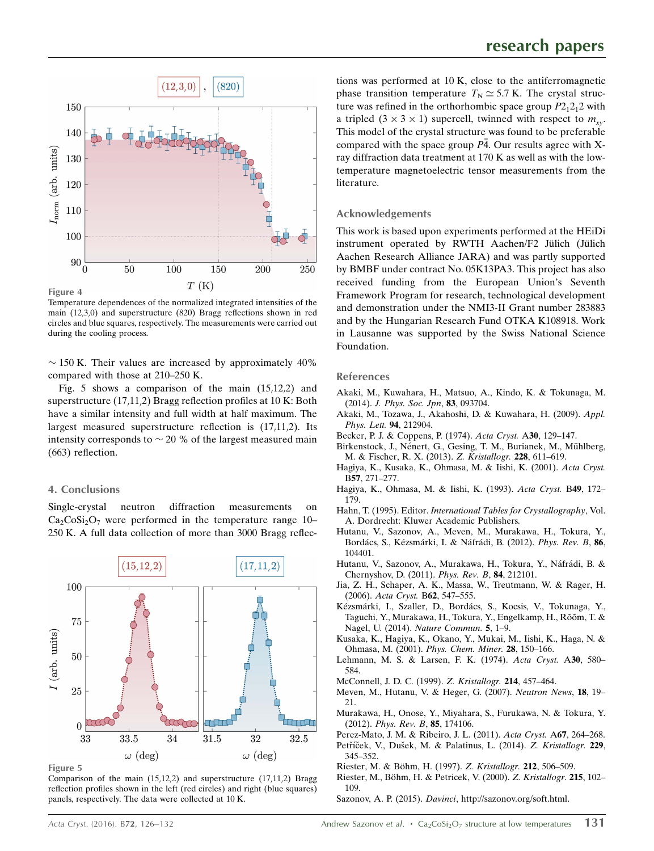

Temperature dependences of the normalized integrated intensities of the main (12,3,0) and superstructure (820) Bragg reflections shown in red circles and blue squares, respectively. The measurements were carried out during the cooling process.

 $\sim$  150 K. Their values are increased by approximately 40% compared with those at 210–250 K.

Fig. 5 shows a comparison of the main  $(15,12,2)$  and superstructure (17,11,2) Bragg reflection profiles at 10 K: Both have a similar intensity and full width at half maximum. The largest measured superstructure reflection is  $(17,11,2)$ . Its intensity corresponds to  $\sim$  20 % of the largest measured main (663) reflection.

#### 4. Conclusions

Single-crystal neutron diffraction measurements on  $Ca<sub>2</sub>CoSi<sub>2</sub>O<sub>7</sub>$  were performed in the temperature range 10– 250 K. A full data collection of more than 3000 Bragg reflec-



Figure 5

Comparison of the main  $(15,12,2)$  and superstructure  $(17,11,2)$  Bragg reflection profiles shown in the left (red circles) and right (blue squares) panels, respectively. The data were collected at 10 K.

tions was performed at 10 K, close to the antiferromagnetic phase transition temperature  $T_N \simeq 5.7$  K. The crystal structure was refined in the orthorhombic space group  $P2_12_12$  with a tripled  $(3 \times 3 \times 1)$  supercell, twinned with respect to  $m_{xy}$ . This model of the crystal structure was found to be preferable compared with the space group  $P\bar{4}$ . Our results agree with Xray diffraction data treatment at 170 K as well as with the lowtemperature magnetoelectric tensor measurements from the literature.

#### Acknowledgements

This work is based upon experiments performed at the HEiDi instrument operated by RWTH Aachen/F2 Jülich (Jülich Aachen Research Alliance JARA) and was partly supported by BMBF under contract No. 05K13PA3. This project has also received funding from the European Union's Seventh Framework Program for research, technological development and demonstration under the NMI3-II Grant number 283883 and by the Hungarian Research Fund OTKA K108918. Work in Lausanne was supported by the Swiss National Science Foundation.

#### References

- [Akaki, M., Kuwahara, H., Matsuo, A., Kindo, K. & Tokunaga, M.](http://scripts.iucr.org/cgi-bin/cr.cgi?rm=pdfbb&cnor=bp5083&bbid=BB1) (2014). [J. Phys. Soc. Jpn](http://scripts.iucr.org/cgi-bin/cr.cgi?rm=pdfbb&cnor=bp5083&bbid=BB1), 83, 093704.
- [Akaki, M., Tozawa, J., Akahoshi, D. & Kuwahara, H. \(2009\).](http://scripts.iucr.org/cgi-bin/cr.cgi?rm=pdfbb&cnor=bp5083&bbid=BB2) Appl. [Phys. Lett.](http://scripts.iucr.org/cgi-bin/cr.cgi?rm=pdfbb&cnor=bp5083&bbid=BB2) 94, 212904.
- [Becker, P. J. & Coppens, P. \(1974\).](http://scripts.iucr.org/cgi-bin/cr.cgi?rm=pdfbb&cnor=bp5083&bbid=BB23) Acta Cryst. A30, 129–147.
- Birkenstock, J., Nénert, G., Gesing, T. M., Burianek, M., Mühlberg, [M. & Fischer, R. X. \(2013\).](http://scripts.iucr.org/cgi-bin/cr.cgi?rm=pdfbb&cnor=bp5083&bbid=BB3) Z. Kristallogr. 228, 611–619.
- [Hagiya, K., Kusaka, K., Ohmasa, M. & Iishi, K. \(2001\).](http://scripts.iucr.org/cgi-bin/cr.cgi?rm=pdfbb&cnor=bp5083&bbid=BB4) Acta Cryst. B57[, 271–277.](http://scripts.iucr.org/cgi-bin/cr.cgi?rm=pdfbb&cnor=bp5083&bbid=BB4)
- [Hagiya, K., Ohmasa, M. & Iishi, K. \(1993\).](http://scripts.iucr.org/cgi-bin/cr.cgi?rm=pdfbb&cnor=bp5083&bbid=BB5) Acta Cryst. B49, 172– [179.](http://scripts.iucr.org/cgi-bin/cr.cgi?rm=pdfbb&cnor=bp5083&bbid=BB5)
- Hahn, T. (1995). Editor. [International Tables for Crystallography](http://scripts.iucr.org/cgi-bin/cr.cgi?rm=pdfbb&cnor=bp5083&bbid=BB6), Vol. [A. Dordrecht: Kluwer Academic Publishers.](http://scripts.iucr.org/cgi-bin/cr.cgi?rm=pdfbb&cnor=bp5083&bbid=BB6)
- [Hutanu, V., Sazonov, A., Meven, M., Murakawa, H., Tokura, Y.,](http://scripts.iucr.org/cgi-bin/cr.cgi?rm=pdfbb&cnor=bp5083&bbid=BB7) Bordács, S., Kézsmárki, I. & Náfrádi, B. (2012). Phys. Rev. B, 86, [104401.](http://scripts.iucr.org/cgi-bin/cr.cgi?rm=pdfbb&cnor=bp5083&bbid=BB7)
- Hutanu, V., Sazonov, A., Murakawa, H., Tokura, Y., Náfrádi, B. & [Chernyshov, D. \(2011\).](http://scripts.iucr.org/cgi-bin/cr.cgi?rm=pdfbb&cnor=bp5083&bbid=BB8) Phys. Rev. B, 84, 212101.
- [Jia, Z. H., Schaper, A. K., Massa, W., Treutmann, W. & Rager, H.](http://scripts.iucr.org/cgi-bin/cr.cgi?rm=pdfbb&cnor=bp5083&bbid=BB9) (2006). [Acta Cryst.](http://scripts.iucr.org/cgi-bin/cr.cgi?rm=pdfbb&cnor=bp5083&bbid=BB9) B62, 547–555.
- Kézsmárki, I., Szaller, D., Bordá[cs, S., Kocsis, V., Tokunaga, Y.,](http://scripts.iucr.org/cgi-bin/cr.cgi?rm=pdfbb&cnor=bp5083&bbid=BB21) Taguchi, Y., Murakawa, H., Tokura, Y., Engelkamp, H., Rõõm, T. & Nagel, U. (2014). [Nature Commun.](http://scripts.iucr.org/cgi-bin/cr.cgi?rm=pdfbb&cnor=bp5083&bbid=BB21) 5, 1–9.
- [Kusaka, K., Hagiya, K., Okano, Y., Mukai, M., Iishi, K., Haga, N. &](http://scripts.iucr.org/cgi-bin/cr.cgi?rm=pdfbb&cnor=bp5083&bbid=BB10) [Ohmasa, M. \(2001\).](http://scripts.iucr.org/cgi-bin/cr.cgi?rm=pdfbb&cnor=bp5083&bbid=BB10) Phys. Chem. Miner. 28, 150–166.
- [Lehmann, M. S. & Larsen, F. K. \(1974\).](http://scripts.iucr.org/cgi-bin/cr.cgi?rm=pdfbb&cnor=bp5083&bbid=BB11) Acta Cryst. A30, 580– [584.](http://scripts.iucr.org/cgi-bin/cr.cgi?rm=pdfbb&cnor=bp5083&bbid=BB11)
- [McConnell, J. D. C. \(1999\).](http://scripts.iucr.org/cgi-bin/cr.cgi?rm=pdfbb&cnor=bp5083&bbid=BB12) Z. Kristallogr. 214, 457–464.
- [Meven, M., Hutanu, V. & Heger, G. \(2007\).](http://scripts.iucr.org/cgi-bin/cr.cgi?rm=pdfbb&cnor=bp5083&bbid=BB13) Neutron News, 18, 19– [21.](http://scripts.iucr.org/cgi-bin/cr.cgi?rm=pdfbb&cnor=bp5083&bbid=BB13)
- [Murakawa, H., Onose, Y., Miyahara, S., Furukawa, N. & Tokura, Y.](http://scripts.iucr.org/cgi-bin/cr.cgi?rm=pdfbb&cnor=bp5083&bbid=BB14) (2012). [Phys. Rev. B](http://scripts.iucr.org/cgi-bin/cr.cgi?rm=pdfbb&cnor=bp5083&bbid=BB14), 85, 174106.
- [Perez-Mato, J. M. & Ribeiro, J. L. \(2011\).](http://scripts.iucr.org/cgi-bin/cr.cgi?rm=pdfbb&cnor=bp5083&bbid=BB15) Acta Cryst. A67, 264–268. Petříček, V., Dušek, M. & Palatinus, L. (2014). Z. Kristallogr. 229,
- [345–352.](http://scripts.iucr.org/cgi-bin/cr.cgi?rm=pdfbb&cnor=bp5083&bbid=BB16) Riester, M. & Böhm, H. (1997). Z. Kristallogr. 212, 506-509.
- Riester, M., Böhm, H. & Petricek, V. (2000). Z. Kristallogr. 215, 102-[109.](http://scripts.iucr.org/cgi-bin/cr.cgi?rm=pdfbb&cnor=bp5083&bbid=BB18)
- Sazonov, A. P. (2015). Davinci[, http://sazonov.org/soft.html.](http://scripts.iucr.org/cgi-bin/cr.cgi?rm=pdfbb&cnor=bp5083&bbid=BB19)